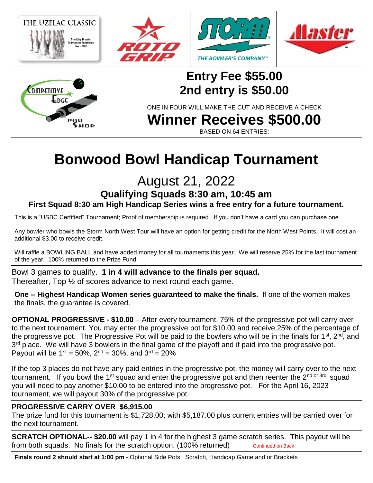

**Winner Receives \$500.00**

BASED ON 64 ENTRIES:

## **Bonwood Bowl Handicap Tournament**

## August 21, 2022

**Qualifying Squads 8:30 am, 10:45 am**

**First Squad 8:30 am High Handicap Series wins a free entry for a future tournament.**

This is a "USBC Certified" Tournament; Proof of membership is required. If you don't have a card you can purchase one.

Any bowler who bowls the Storm North West Tour will have an option for getting credit for the North West Points. It will cost an additional \$3.00 to receive credit.

Will raffle a BOWLING BALL and have added money for all tournaments this year. We will reserve 25% for the last tournament of the year. 100% returned to the Prize Fund.

Bowl 3 games to qualify. **1 in 4 will advance to the finals per squad.** Thereafter, Top ½ of scores advance to next round each game.

**One -- Highest Handicap Women series guaranteed to make the finals.** If one of the women makes the finals, the guarantee is covered.

**OPTIONAL PROGRESSIVE - \$10.00** – After every tournament, 75% of the progressive pot will carry over to the next tournament. You may enter the progressive pot for \$10.00 and receive 25% of the percentage of the progressive pot. The Progressive Pot will be paid to the bowlers who will be in the finals for 1<sup>st</sup>, 2<sup>nd</sup>, and 3<sup>rd</sup> place. We will have 3 bowlers in the final game of the playoff and if paid into the progressive pot. Payout will be  $1^{st} = 50\%$ ,  $2^{nd} = 30\%$ , and  $3^{rd} = 20\%$ 

If the top 3 places do not have any paid entries in the progressive pot, the money will carry over to the next tournament. If you bowl the 1<sup>st</sup> squad and enter the progressive pot and then reenter the 2<sup>nd or 3rd</sup> squad you will need to pay another \$10.00 to be entered into the progressive pot. For the April 16, 2023 tournament, we will payout 30% of the progressive pot.

## **PROGRESSIVE CARRY OVER \$6,915.00**

The prize fund for this tournament is \$1,728.00; with \$5,187.00 plus current entries will be carried over for the next tournament.

**SCRATCH OPTIONAL-- \$20.00** will pay 1 in 4 for the highest 3 game scratch series. This payout will be from both squads. No finals for the scratch option. (100% returned) continued on Back

**Finals round 2 should start at 1:00 pm** - Optional Side Pots: Scratch, Handicap Game and or Brackets